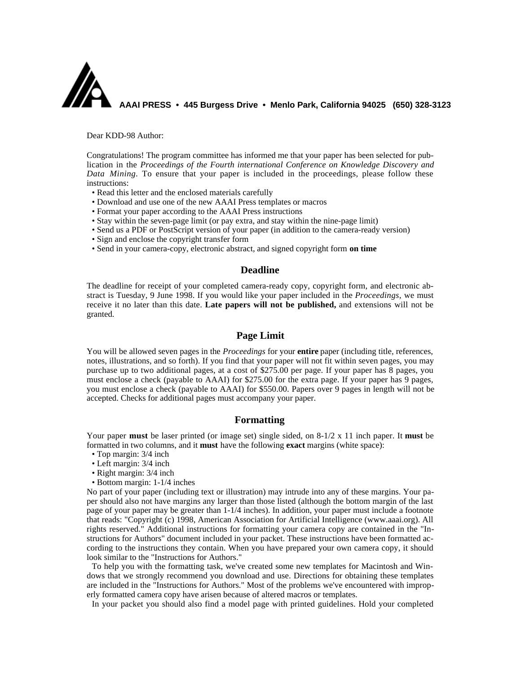

Dear KDD-98 Author:

Congratulations! The program committee has informed me that your paper has been selected for publication in the *Proceedings of the Fourth international Conference on Knowledge Discovery and Data Mining.* To ensure that your paper is included in the proceedings, please follow these instructions:

- Read this letter and the enclosed materials carefully
- Download and use one of the new AAAI Press templates or macros
- Format your paper according to the AAAI Press instructions
- Stay within the seven-page limit (or pay extra, and stay within the nine-page limit)
- Send us a PDF or PostScript version of your paper (in addition to the camera-ready version)
- Sign and enclose the copyright transfer form
- Send in your camera-copy, electronic abstract, and signed copyright form **on time**

### **Deadline**

The deadline for receipt of your completed camera-ready copy, copyright form, and electronic abstract is Tuesday, 9 June 1998. If you would like your paper included in the *Proceedings,* we must receive it no later than this date. **Late papers will not be published,** and extensions will not be granted.

### **Page Limit**

You will be allowed seven pages in the *Proceedings* for your **entire** paper (including title, references, notes, illustrations, and so forth). If you find that your paper will not fit within seven pages, you may purchase up to two additional pages, at a cost of \$275.00 per page. If your paper has 8 pages, you must enclose a check (payable to AAAI) for \$275.00 for the extra page. If your paper has 9 pages, you must enclose a check (payable to AAAI) for \$550.00. Papers over 9 pages in length will not be accepted. Checks for additional pages must accompany your paper.

## **Formatting**

Your paper **must** be laser printed (or image set) single sided, on 8-1/2 x 11 inch paper. It **must** be formatted in two columns, and it **must** have the following **exact** margins (white space):

- Top margin: 3/4 inch
- Left margin: 3/4 inch
- Right margin: 3/4 inch
- Bottom margin: 1-1/4 inches

No part of your paper (including text or illustration) may intrude into any of these margins. Your paper should also not have margins any larger than those listed (although the bottom margin of the last page of your paper may be greater than 1-1/4 inches). In addition, your paper must include a footnote that reads: "Copyright (c) 1998, American Association for Artificial Intelligence (www.aaai.org). All rights reserved." Additional instructions for formatting your camera copy are contained in the "Instructions for Authors" document included in your packet. These instructions have been formatted according to the instructions they contain. When you have prepared your own camera copy, it should look similar to the "Instructions for Authors."

To help you with the formatting task, we've created some new templates for Macintosh and Windows that we strongly recommend you download and use. Directions for obtaining these templates are included in the "Instructions for Authors." Most of the problems we've encountered with improperly formatted camera copy have arisen because of altered macros or templates.

In your packet you should also find a model page with printed guidelines. Hold your completed